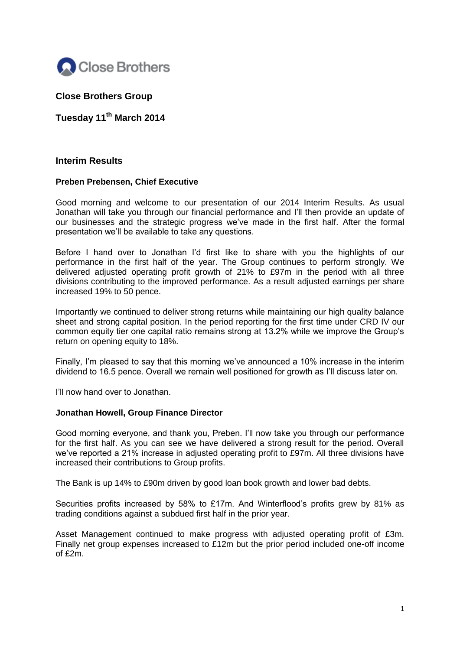

# **Close Brothers Group**

**Tuesday 11th March 2014**

## **Interim Results**

#### **Preben Prebensen, Chief Executive**

Good morning and welcome to our presentation of our 2014 Interim Results. As usual Jonathan will take you through our financial performance and I'll then provide an update of our businesses and the strategic progress we've made in the first half. After the formal presentation we'll be available to take any questions.

Before I hand over to Jonathan I'd first like to share with you the highlights of our performance in the first half of the year. The Group continues to perform strongly. We delivered adjusted operating profit growth of 21% to £97m in the period with all three divisions contributing to the improved performance. As a result adjusted earnings per share increased 19% to 50 pence.

Importantly we continued to deliver strong returns while maintaining our high quality balance sheet and strong capital position. In the period reporting for the first time under CRD IV our common equity tier one capital ratio remains strong at 13.2% while we improve the Group's return on opening equity to 18%.

Finally, I'm pleased to say that this morning we've announced a 10% increase in the interim dividend to 16.5 pence. Overall we remain well positioned for growth as I'll discuss later on.

I'll now hand over to Jonathan.

#### **Jonathan Howell, Group Finance Director**

Good morning everyone, and thank you, Preben. I'll now take you through our performance for the first half. As you can see we have delivered a strong result for the period. Overall we've reported a 21% increase in adjusted operating profit to £97m. All three divisions have increased their contributions to Group profits.

The Bank is up 14% to £90m driven by good loan book growth and lower bad debts.

Securities profits increased by 58% to £17m. And Winterflood's profits grew by 81% as trading conditions against a subdued first half in the prior year.

Asset Management continued to make progress with adjusted operating profit of £3m. Finally net group expenses increased to £12m but the prior period included one-off income of £2m.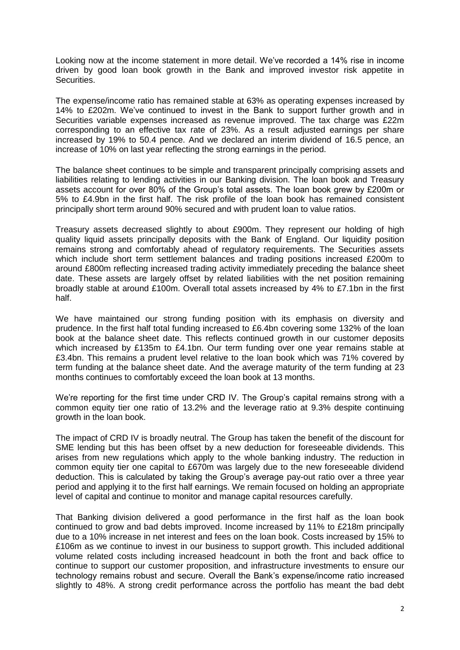Looking now at the income statement in more detail. We've recorded a 14% rise in income driven by good loan book growth in the Bank and improved investor risk appetite in Securities.

The expense/income ratio has remained stable at 63% as operating expenses increased by 14% to £202m. We've continued to invest in the Bank to support further growth and in Securities variable expenses increased as revenue improved. The tax charge was £22m corresponding to an effective tax rate of 23%. As a result adjusted earnings per share increased by 19% to 50.4 pence. And we declared an interim dividend of 16.5 pence, an increase of 10% on last year reflecting the strong earnings in the period.

The balance sheet continues to be simple and transparent principally comprising assets and liabilities relating to lending activities in our Banking division. The loan book and Treasury assets account for over 80% of the Group's total assets. The loan book grew by £200m or 5% to £4.9bn in the first half. The risk profile of the loan book has remained consistent principally short term around 90% secured and with prudent loan to value ratios.

Treasury assets decreased slightly to about £900m. They represent our holding of high quality liquid assets principally deposits with the Bank of England. Our liquidity position remains strong and comfortably ahead of regulatory requirements. The Securities assets which include short term settlement balances and trading positions increased £200m to around £800m reflecting increased trading activity immediately preceding the balance sheet date. These assets are largely offset by related liabilities with the net position remaining broadly stable at around £100m. Overall total assets increased by 4% to £7.1bn in the first half.

We have maintained our strong funding position with its emphasis on diversity and prudence. In the first half total funding increased to £6.4bn covering some 132% of the loan book at the balance sheet date. This reflects continued growth in our customer deposits which increased by £135m to £4.1bn. Our term funding over one year remains stable at £3.4bn. This remains a prudent level relative to the loan book which was 71% covered by term funding at the balance sheet date. And the average maturity of the term funding at 23 months continues to comfortably exceed the loan book at 13 months.

We're reporting for the first time under CRD IV. The Group's capital remains strong with a common equity tier one ratio of 13.2% and the leverage ratio at 9.3% despite continuing growth in the loan book.

The impact of CRD IV is broadly neutral. The Group has taken the benefit of the discount for SME lending but this has been offset by a new deduction for foreseeable dividends. This arises from new regulations which apply to the whole banking industry. The reduction in common equity tier one capital to £670m was largely due to the new foreseeable dividend deduction. This is calculated by taking the Group's average pay-out ratio over a three year period and applying it to the first half earnings. We remain focused on holding an appropriate level of capital and continue to monitor and manage capital resources carefully.

That Banking division delivered a good performance in the first half as the loan book continued to grow and bad debts improved. Income increased by 11% to £218m principally due to a 10% increase in net interest and fees on the loan book. Costs increased by 15% to £106m as we continue to invest in our business to support growth. This included additional volume related costs including increased headcount in both the front and back office to continue to support our customer proposition, and infrastructure investments to ensure our technology remains robust and secure. Overall the Bank's expense/income ratio increased slightly to 48%. A strong credit performance across the portfolio has meant the bad debt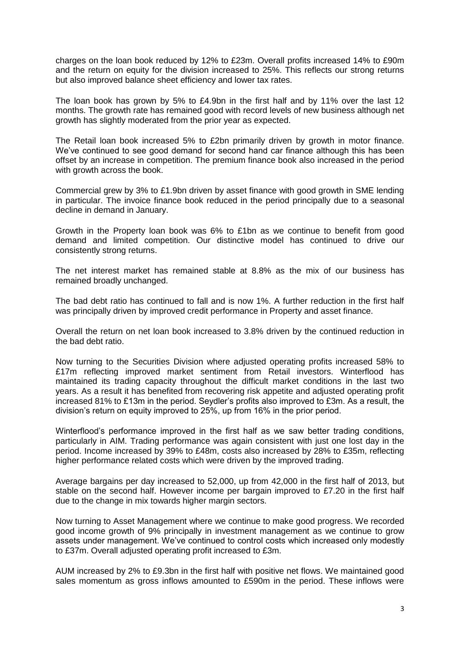charges on the loan book reduced by 12% to £23m. Overall profits increased 14% to £90m and the return on equity for the division increased to 25%. This reflects our strong returns but also improved balance sheet efficiency and lower tax rates.

The loan book has grown by 5% to £4.9bn in the first half and by 11% over the last 12 months. The growth rate has remained good with record levels of new business although net growth has slightly moderated from the prior year as expected.

The Retail loan book increased 5% to £2bn primarily driven by growth in motor finance. We've continued to see good demand for second hand car finance although this has been offset by an increase in competition. The premium finance book also increased in the period with growth across the book.

Commercial grew by 3% to £1.9bn driven by asset finance with good growth in SME lending in particular. The invoice finance book reduced in the period principally due to a seasonal decline in demand in January.

Growth in the Property loan book was 6% to £1bn as we continue to benefit from good demand and limited competition. Our distinctive model has continued to drive our consistently strong returns.

The net interest market has remained stable at 8.8% as the mix of our business has remained broadly unchanged.

The bad debt ratio has continued to fall and is now 1%. A further reduction in the first half was principally driven by improved credit performance in Property and asset finance.

Overall the return on net loan book increased to 3.8% driven by the continued reduction in the bad debt ratio.

Now turning to the Securities Division where adjusted operating profits increased 58% to £17m reflecting improved market sentiment from Retail investors. Winterflood has maintained its trading capacity throughout the difficult market conditions in the last two years. As a result it has benefited from recovering risk appetite and adjusted operating profit increased 81% to £13m in the period. Seydler's profits also improved to £3m. As a result, the division's return on equity improved to 25%, up from 16% in the prior period.

Winterflood's performance improved in the first half as we saw better trading conditions, particularly in AIM. Trading performance was again consistent with just one lost day in the period. Income increased by 39% to £48m, costs also increased by 28% to £35m, reflecting higher performance related costs which were driven by the improved trading.

Average bargains per day increased to 52,000, up from 42,000 in the first half of 2013, but stable on the second half. However income per bargain improved to £7.20 in the first half due to the change in mix towards higher margin sectors.

Now turning to Asset Management where we continue to make good progress. We recorded good income growth of 9% principally in investment management as we continue to grow assets under management. We've continued to control costs which increased only modestly to £37m. Overall adjusted operating profit increased to £3m.

AUM increased by 2% to £9.3bn in the first half with positive net flows. We maintained good sales momentum as gross inflows amounted to £590m in the period. These inflows were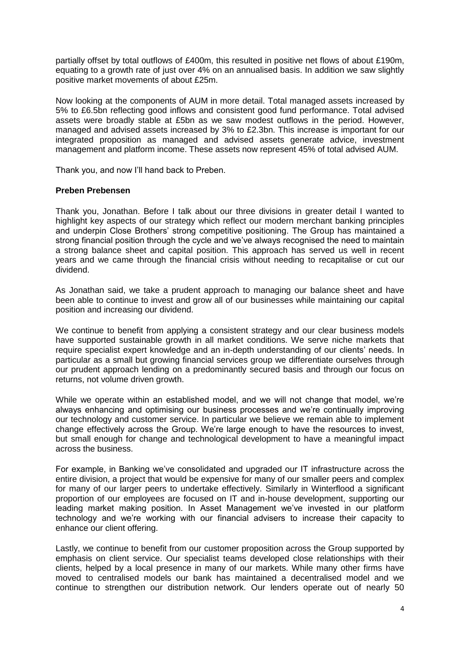partially offset by total outflows of £400m, this resulted in positive net flows of about £190m, equating to a growth rate of just over 4% on an annualised basis. In addition we saw slightly positive market movements of about £25m.

Now looking at the components of AUM in more detail. Total managed assets increased by 5% to £6.5bn reflecting good inflows and consistent good fund performance. Total advised assets were broadly stable at £5bn as we saw modest outflows in the period. However, managed and advised assets increased by 3% to £2.3bn. This increase is important for our integrated proposition as managed and advised assets generate advice, investment management and platform income. These assets now represent 45% of total advised AUM.

Thank you, and now I'll hand back to Preben.

### **Preben Prebensen**

Thank you, Jonathan. Before I talk about our three divisions in greater detail I wanted to highlight key aspects of our strategy which reflect our modern merchant banking principles and underpin Close Brothers' strong competitive positioning. The Group has maintained a strong financial position through the cycle and we've always recognised the need to maintain a strong balance sheet and capital position. This approach has served us well in recent years and we came through the financial crisis without needing to recapitalise or cut our dividend.

As Jonathan said, we take a prudent approach to managing our balance sheet and have been able to continue to invest and grow all of our businesses while maintaining our capital position and increasing our dividend.

We continue to benefit from applying a consistent strategy and our clear business models have supported sustainable growth in all market conditions. We serve niche markets that require specialist expert knowledge and an in-depth understanding of our clients' needs. In particular as a small but growing financial services group we differentiate ourselves through our prudent approach lending on a predominantly secured basis and through our focus on returns, not volume driven growth.

While we operate within an established model, and we will not change that model, we're always enhancing and optimising our business processes and we're continually improving our technology and customer service. In particular we believe we remain able to implement change effectively across the Group. We're large enough to have the resources to invest, but small enough for change and technological development to have a meaningful impact across the business.

For example, in Banking we've consolidated and upgraded our IT infrastructure across the entire division, a project that would be expensive for many of our smaller peers and complex for many of our larger peers to undertake effectively. Similarly in Winterflood a significant proportion of our employees are focused on IT and in-house development, supporting our leading market making position. In Asset Management we've invested in our platform technology and we're working with our financial advisers to increase their capacity to enhance our client offering.

Lastly, we continue to benefit from our customer proposition across the Group supported by emphasis on client service. Our specialist teams developed close relationships with their clients, helped by a local presence in many of our markets. While many other firms have moved to centralised models our bank has maintained a decentralised model and we continue to strengthen our distribution network. Our lenders operate out of nearly 50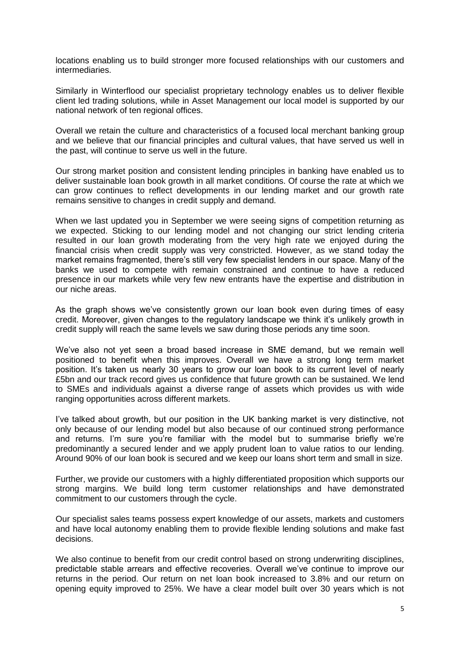locations enabling us to build stronger more focused relationships with our customers and intermediaries.

Similarly in Winterflood our specialist proprietary technology enables us to deliver flexible client led trading solutions, while in Asset Management our local model is supported by our national network of ten regional offices.

Overall we retain the culture and characteristics of a focused local merchant banking group and we believe that our financial principles and cultural values, that have served us well in the past, will continue to serve us well in the future.

Our strong market position and consistent lending principles in banking have enabled us to deliver sustainable loan book growth in all market conditions. Of course the rate at which we can grow continues to reflect developments in our lending market and our growth rate remains sensitive to changes in credit supply and demand.

When we last updated you in September we were seeing signs of competition returning as we expected. Sticking to our lending model and not changing our strict lending criteria resulted in our loan growth moderating from the very high rate we enjoyed during the financial crisis when credit supply was very constricted. However, as we stand today the market remains fragmented, there's still very few specialist lenders in our space. Many of the banks we used to compete with remain constrained and continue to have a reduced presence in our markets while very few new entrants have the expertise and distribution in our niche areas.

As the graph shows we've consistently grown our loan book even during times of easy credit. Moreover, given changes to the regulatory landscape we think it's unlikely growth in credit supply will reach the same levels we saw during those periods any time soon.

We've also not yet seen a broad based increase in SME demand, but we remain well positioned to benefit when this improves. Overall we have a strong long term market position. It's taken us nearly 30 years to grow our loan book to its current level of nearly £5bn and our track record gives us confidence that future growth can be sustained. We lend to SMEs and individuals against a diverse range of assets which provides us with wide ranging opportunities across different markets.

I've talked about growth, but our position in the UK banking market is very distinctive, not only because of our lending model but also because of our continued strong performance and returns. I'm sure you're familiar with the model but to summarise briefly we're predominantly a secured lender and we apply prudent loan to value ratios to our lending. Around 90% of our loan book is secured and we keep our loans short term and small in size.

Further, we provide our customers with a highly differentiated proposition which supports our strong margins. We build long term customer relationships and have demonstrated commitment to our customers through the cycle.

Our specialist sales teams possess expert knowledge of our assets, markets and customers and have local autonomy enabling them to provide flexible lending solutions and make fast decisions.

We also continue to benefit from our credit control based on strong underwriting disciplines, predictable stable arrears and effective recoveries. Overall we've continue to improve our returns in the period. Our return on net loan book increased to 3.8% and our return on opening equity improved to 25%. We have a clear model built over 30 years which is not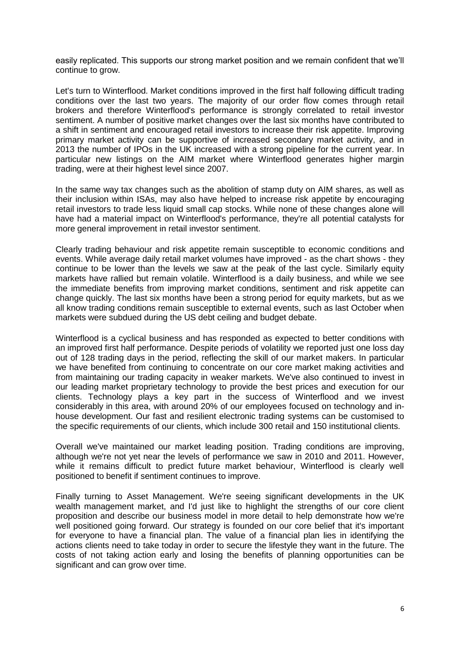easily replicated. This supports our strong market position and we remain confident that we'll continue to grow.

Let's turn to Winterflood. Market conditions improved in the first half following difficult trading conditions over the last two years. The majority of our order flow comes through retail brokers and therefore Winterflood's performance is strongly correlated to retail investor sentiment. A number of positive market changes over the last six months have contributed to a shift in sentiment and encouraged retail investors to increase their risk appetite. Improving primary market activity can be supportive of increased secondary market activity, and in 2013 the number of IPOs in the UK increased with a strong pipeline for the current year. In particular new listings on the AIM market where Winterflood generates higher margin trading, were at their highest level since 2007.

In the same way tax changes such as the abolition of stamp duty on AIM shares, as well as their inclusion within ISAs, may also have helped to increase risk appetite by encouraging retail investors to trade less liquid small cap stocks. While none of these changes alone will have had a material impact on Winterflood's performance, they're all potential catalysts for more general improvement in retail investor sentiment.

Clearly trading behaviour and risk appetite remain susceptible to economic conditions and events. While average daily retail market volumes have improved - as the chart shows - they continue to be lower than the levels we saw at the peak of the last cycle. Similarly equity markets have rallied but remain volatile. Winterflood is a daily business, and while we see the immediate benefits from improving market conditions, sentiment and risk appetite can change quickly. The last six months have been a strong period for equity markets, but as we all know trading conditions remain susceptible to external events, such as last October when markets were subdued during the US debt ceiling and budget debate.

Winterflood is a cyclical business and has responded as expected to better conditions with an improved first half performance. Despite periods of volatility we reported just one loss day out of 128 trading days in the period, reflecting the skill of our market makers. In particular we have benefited from continuing to concentrate on our core market making activities and from maintaining our trading capacity in weaker markets. We've also continued to invest in our leading market proprietary technology to provide the best prices and execution for our clients. Technology plays a key part in the success of Winterflood and we invest considerably in this area, with around 20% of our employees focused on technology and inhouse development. Our fast and resilient electronic trading systems can be customised to the specific requirements of our clients, which include 300 retail and 150 institutional clients.

Overall we've maintained our market leading position. Trading conditions are improving, although we're not yet near the levels of performance we saw in 2010 and 2011. However, while it remains difficult to predict future market behaviour, Winterflood is clearly well positioned to benefit if sentiment continues to improve.

Finally turning to Asset Management. We're seeing significant developments in the UK wealth management market, and I'd just like to highlight the strengths of our core client proposition and describe our business model in more detail to help demonstrate how we're well positioned going forward. Our strategy is founded on our core belief that it's important for everyone to have a financial plan. The value of a financial plan lies in identifying the actions clients need to take today in order to secure the lifestyle they want in the future. The costs of not taking action early and losing the benefits of planning opportunities can be significant and can grow over time.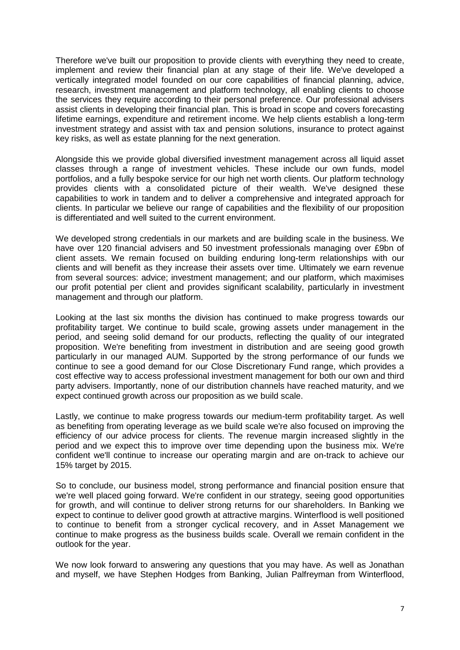Therefore we've built our proposition to provide clients with everything they need to create, implement and review their financial plan at any stage of their life. We've developed a vertically integrated model founded on our core capabilities of financial planning, advice, research, investment management and platform technology, all enabling clients to choose the services they require according to their personal preference. Our professional advisers assist clients in developing their financial plan. This is broad in scope and covers forecasting lifetime earnings, expenditure and retirement income. We help clients establish a long-term investment strategy and assist with tax and pension solutions, insurance to protect against key risks, as well as estate planning for the next generation.

Alongside this we provide global diversified investment management across all liquid asset classes through a range of investment vehicles. These include our own funds, model portfolios, and a fully bespoke service for our high net worth clients. Our platform technology provides clients with a consolidated picture of their wealth. We've designed these capabilities to work in tandem and to deliver a comprehensive and integrated approach for clients. In particular we believe our range of capabilities and the flexibility of our proposition is differentiated and well suited to the current environment.

We developed strong credentials in our markets and are building scale in the business. We have over 120 financial advisers and 50 investment professionals managing over £9bn of client assets. We remain focused on building enduring long-term relationships with our clients and will benefit as they increase their assets over time. Ultimately we earn revenue from several sources: advice; investment management; and our platform, which maximises our profit potential per client and provides significant scalability, particularly in investment management and through our platform.

Looking at the last six months the division has continued to make progress towards our profitability target. We continue to build scale, growing assets under management in the period, and seeing solid demand for our products, reflecting the quality of our integrated proposition. We're benefiting from investment in distribution and are seeing good growth particularly in our managed AUM. Supported by the strong performance of our funds we continue to see a good demand for our Close Discretionary Fund range, which provides a cost effective way to access professional investment management for both our own and third party advisers. Importantly, none of our distribution channels have reached maturity, and we expect continued growth across our proposition as we build scale.

Lastly, we continue to make progress towards our medium-term profitability target. As well as benefiting from operating leverage as we build scale we're also focused on improving the efficiency of our advice process for clients. The revenue margin increased slightly in the period and we expect this to improve over time depending upon the business mix. We're confident we'll continue to increase our operating margin and are on-track to achieve our 15% target by 2015.

So to conclude, our business model, strong performance and financial position ensure that we're well placed going forward. We're confident in our strategy, seeing good opportunities for growth, and will continue to deliver strong returns for our shareholders. In Banking we expect to continue to deliver good growth at attractive margins. Winterflood is well positioned to continue to benefit from a stronger cyclical recovery, and in Asset Management we continue to make progress as the business builds scale. Overall we remain confident in the outlook for the year.

We now look forward to answering any questions that you may have. As well as Jonathan and myself, we have Stephen Hodges from Banking, Julian Palfreyman from Winterflood,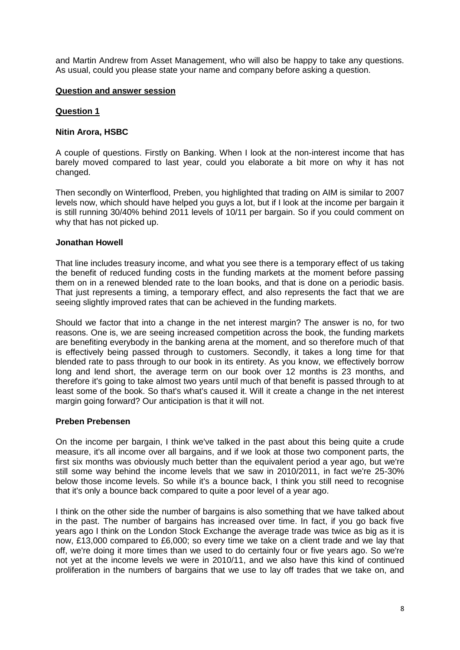and Martin Andrew from Asset Management, who will also be happy to take any questions. As usual, could you please state your name and company before asking a question.

#### **Question and answer session**

#### **Question 1**

#### **Nitin Arora, HSBC**

A couple of questions. Firstly on Banking. When I look at the non-interest income that has barely moved compared to last year, could you elaborate a bit more on why it has not changed.

Then secondly on Winterflood, Preben, you highlighted that trading on AIM is similar to 2007 levels now, which should have helped you guys a lot, but if I look at the income per bargain it is still running 30/40% behind 2011 levels of 10/11 per bargain. So if you could comment on why that has not picked up.

#### **Jonathan Howell**

That line includes treasury income, and what you see there is a temporary effect of us taking the benefit of reduced funding costs in the funding markets at the moment before passing them on in a renewed blended rate to the loan books, and that is done on a periodic basis. That just represents a timing, a temporary effect, and also represents the fact that we are seeing slightly improved rates that can be achieved in the funding markets.

Should we factor that into a change in the net interest margin? The answer is no, for two reasons. One is, we are seeing increased competition across the book, the funding markets are benefiting everybody in the banking arena at the moment, and so therefore much of that is effectively being passed through to customers. Secondly, it takes a long time for that blended rate to pass through to our book in its entirety. As you know, we effectively borrow long and lend short, the average term on our book over 12 months is 23 months, and therefore it's going to take almost two years until much of that benefit is passed through to at least some of the book. So that's what's caused it. Will it create a change in the net interest margin going forward? Our anticipation is that it will not.

#### **Preben Prebensen**

On the income per bargain, I think we've talked in the past about this being quite a crude measure, it's all income over all bargains, and if we look at those two component parts, the first six months was obviously much better than the equivalent period a year ago, but we're still some way behind the income levels that we saw in 2010/2011, in fact we're 25-30% below those income levels. So while it's a bounce back, I think you still need to recognise that it's only a bounce back compared to quite a poor level of a year ago.

I think on the other side the number of bargains is also something that we have talked about in the past. The number of bargains has increased over time. In fact, if you go back five years ago I think on the London Stock Exchange the average trade was twice as big as it is now, £13,000 compared to £6,000; so every time we take on a client trade and we lay that off, we're doing it more times than we used to do certainly four or five years ago. So we're not yet at the income levels we were in 2010/11, and we also have this kind of continued proliferation in the numbers of bargains that we use to lay off trades that we take on, and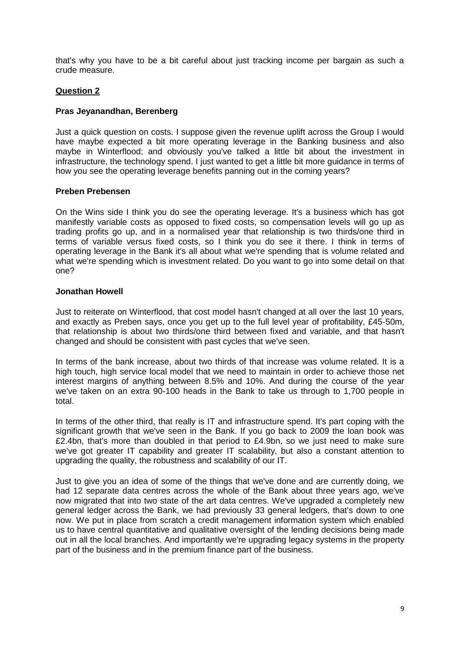that's why you have to be a bit careful about just tracking income per bargain as such a crude measure.

## **Question 2**

## **Pras Jeyanandhan, Berenberg**

Just a quick question on costs. I suppose given the revenue uplift across the Group I would have maybe expected a bit more operating leverage in the Banking business and also maybe in Winterflood; and obviously you've talked a little bit about the investment in infrastructure, the technology spend. I just wanted to get a little bit more guidance in terms of how you see the operating leverage benefits panning out in the coming years?

#### **Preben Prebensen**

On the Wins side I think you do see the operating leverage. It's a business which has got manifestly variable costs as opposed to fixed costs, so compensation levels will go up as trading profits go up, and in a normalised year that relationship is two thirds/one third in terms of variable versus fixed costs, so I think you do see it there. I think in terms of operating leverage in the Bank it's all about what we're spending that is volume related and what we're spending which is investment related. Do you want to go into some detail on that one?

#### **Jonathan Howell**

Just to reiterate on Winterflood, that cost model hasn't changed at all over the last 10 years, and exactly as Preben says, once you get up to the full level year of profitability, £45-50m, that relationship is about two thirds/one third between fixed and variable, and that hasn't changed and should be consistent with past cycles that we've seen.

In terms of the bank increase, about two thirds of that increase was volume related. It is a high touch, high service local model that we need to maintain in order to achieve those net interest margins of anything between 8.5% and 10%. And during the course of the year we've taken on an extra 90-100 heads in the Bank to take us through to 1,700 people in total.

In terms of the other third, that really is IT and infrastructure spend. It's part coping with the significant growth that we've seen in the Bank. If you go back to 2009 the loan book was £2.4bn, that's more than doubled in that period to £4.9bn, so we just need to make sure we've got greater IT capability and greater IT scalability, but also a constant attention to upgrading the quality, the robustness and scalability of our IT.

Just to give you an idea of some of the things that we've done and are currently doing, we had 12 separate data centres across the whole of the Bank about three years ago, we've now migrated that into two state of the art data centres. We've upgraded a completely new general ledger across the Bank, we had previously 33 general ledgers, that's down to one now. We put in place from scratch a credit management information system which enabled us to have central quantitative and qualitative oversight of the lending decisions being made out in all the local branches. And importantly we're upgrading legacy systems in the property part of the business and in the premium finance part of the business.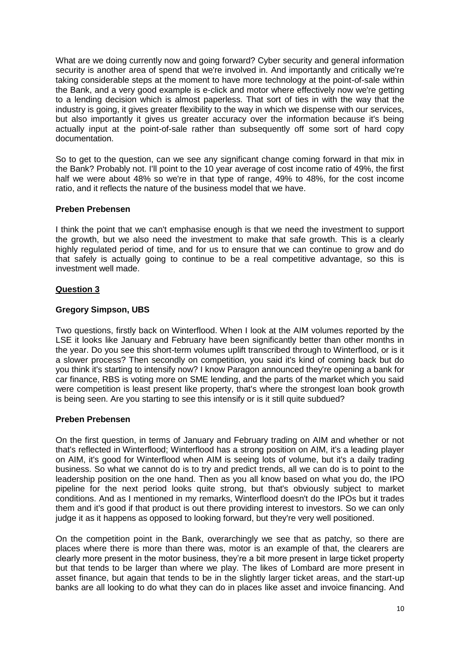What are we doing currently now and going forward? Cyber security and general information security is another area of spend that we're involved in. And importantly and critically we're taking considerable steps at the moment to have more technology at the point-of-sale within the Bank, and a very good example is e-click and motor where effectively now we're getting to a lending decision which is almost paperless. That sort of ties in with the way that the industry is going, it gives greater flexibility to the way in which we dispense with our services, but also importantly it gives us greater accuracy over the information because it's being actually input at the point-of-sale rather than subsequently off some sort of hard copy documentation.

So to get to the question, can we see any significant change coming forward in that mix in the Bank? Probably not. I'll point to the 10 year average of cost income ratio of 49%, the first half we were about 48% so we're in that type of range, 49% to 48%, for the cost income ratio, and it reflects the nature of the business model that we have.

### **Preben Prebensen**

I think the point that we can't emphasise enough is that we need the investment to support the growth, but we also need the investment to make that safe growth. This is a clearly highly regulated period of time, and for us to ensure that we can continue to grow and do that safely is actually going to continue to be a real competitive advantage, so this is investment well made.

### **Question 3**

### **Gregory Simpson, UBS**

Two questions, firstly back on Winterflood. When I look at the AIM volumes reported by the LSE it looks like January and February have been significantly better than other months in the year. Do you see this short-term volumes uplift transcribed through to Winterflood, or is it a slower process? Then secondly on competition, you said it's kind of coming back but do you think it's starting to intensify now? I know Paragon announced they're opening a bank for car finance, RBS is voting more on SME lending, and the parts of the market which you said were competition is least present like property, that's where the strongest loan book growth is being seen. Are you starting to see this intensify or is it still quite subdued?

### **Preben Prebensen**

On the first question, in terms of January and February trading on AIM and whether or not that's reflected in Winterflood; Winterflood has a strong position on AIM, it's a leading player on AIM, it's good for Winterflood when AIM is seeing lots of volume, but it's a daily trading business. So what we cannot do is to try and predict trends, all we can do is to point to the leadership position on the one hand. Then as you all know based on what you do, the IPO pipeline for the next period looks quite strong, but that's obviously subject to market conditions. And as I mentioned in my remarks, Winterflood doesn't do the IPOs but it trades them and it's good if that product is out there providing interest to investors. So we can only judge it as it happens as opposed to looking forward, but they're very well positioned.

On the competition point in the Bank, overarchingly we see that as patchy, so there are places where there is more than there was, motor is an example of that, the clearers are clearly more present in the motor business, they're a bit more present in large ticket property but that tends to be larger than where we play. The likes of Lombard are more present in asset finance, but again that tends to be in the slightly larger ticket areas, and the start-up banks are all looking to do what they can do in places like asset and invoice financing. And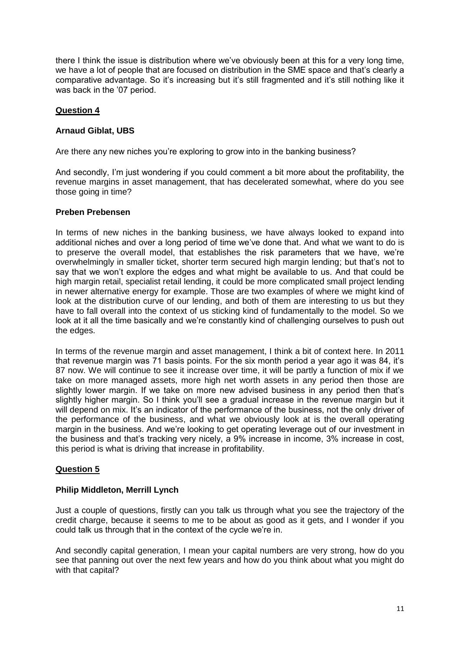there I think the issue is distribution where we've obviously been at this for a very long time, we have a lot of people that are focused on distribution in the SME space and that's clearly a comparative advantage. So it's increasing but it's still fragmented and it's still nothing like it was back in the '07 period.

## **Question 4**

## **Arnaud Giblat, UBS**

Are there any new niches you're exploring to grow into in the banking business?

And secondly, I'm just wondering if you could comment a bit more about the profitability, the revenue margins in asset management, that has decelerated somewhat, where do you see those going in time?

### **Preben Prebensen**

In terms of new niches in the banking business, we have always looked to expand into additional niches and over a long period of time we've done that. And what we want to do is to preserve the overall model, that establishes the risk parameters that we have, we're overwhelmingly in smaller ticket, shorter term secured high margin lending; but that's not to say that we won't explore the edges and what might be available to us. And that could be high margin retail, specialist retail lending, it could be more complicated small project lending in newer alternative energy for example. Those are two examples of where we might kind of look at the distribution curve of our lending, and both of them are interesting to us but they have to fall overall into the context of us sticking kind of fundamentally to the model. So we look at it all the time basically and we're constantly kind of challenging ourselves to push out the edges.

In terms of the revenue margin and asset management, I think a bit of context here. In 2011 that revenue margin was 71 basis points. For the six month period a year ago it was 84, it's 87 now. We will continue to see it increase over time, it will be partly a function of mix if we take on more managed assets, more high net worth assets in any period then those are slightly lower margin. If we take on more new advised business in any period then that's slightly higher margin. So I think you'll see a gradual increase in the revenue margin but it will depend on mix. It's an indicator of the performance of the business, not the only driver of the performance of the business, and what we obviously look at is the overall operating margin in the business. And we're looking to get operating leverage out of our investment in the business and that's tracking very nicely, a 9% increase in income, 3% increase in cost, this period is what is driving that increase in profitability.

# **Question 5**

### **Philip Middleton, Merrill Lynch**

Just a couple of questions, firstly can you talk us through what you see the trajectory of the credit charge, because it seems to me to be about as good as it gets, and I wonder if you could talk us through that in the context of the cycle we're in.

And secondly capital generation, I mean your capital numbers are very strong, how do you see that panning out over the next few years and how do you think about what you might do with that capital?